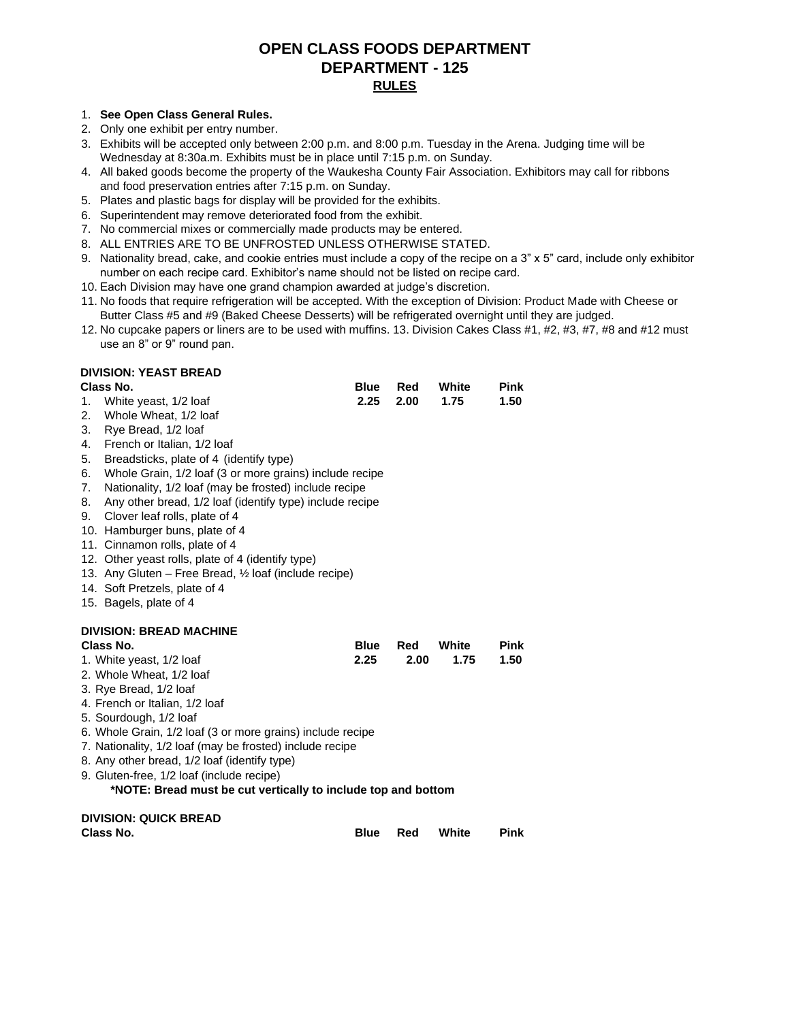## **OPEN CLASS FOODS DEPARTMENT DEPARTMENT - 125 RULES**

#### 1. **See Open Class General Rules.**

- 2. Only one exhibit per entry number.
- 3. Exhibits will be accepted only between 2:00 p.m. and 8:00 p.m. Tuesday in the Arena. Judging time will be Wednesday at 8:30a.m. Exhibits must be in place until 7:15 p.m. on Sunday.
- 4. All baked goods become the property of the Waukesha County Fair Association. Exhibitors may call for ribbons and food preservation entries after 7:15 p.m. on Sunday.
- 5. Plates and plastic bags for display will be provided for the exhibits.
- 6. Superintendent may remove deteriorated food from the exhibit.
- 7. No commercial mixes or commercially made products may be entered.
- 8. ALL ENTRIES ARE TO BE UNFROSTED UNLESS OTHERWISE STATED.
- 9. Nationality bread, cake, and cookie entries must include a copy of the recipe on a  $3" \times 5"$  card, include only exhibitor number on each recipe card. Exhibitor's name should not be listed on recipe card.
- 10. Each Division may have one grand champion awarded at judge's discretion.
- 11. No foods that require refrigeration will be accepted. With the exception of Division: Product Made with Cheese or Butter Class #5 and #9 (Baked Cheese Desserts) will be refrigerated overnight until they are judged.
- 12. No cupcake papers or liners are to be used with muffins. 13. Division Cakes Class #1, #2, #3, #7, #8 and #12 must use an 8" or 9" round pan.

### **DIVISION: YEAST BREAD**

| Class No.                                                      | <b>Blue</b> | Red  | White | <b>Pink</b> |
|----------------------------------------------------------------|-------------|------|-------|-------------|
| White yeast, 1/2 loaf<br>1.                                    | 2.25        | 2.00 | 1.75  | 1.50        |
| 2.<br>Whole Wheat, 1/2 loaf                                    |             |      |       |             |
| 3.<br>Rye Bread, 1/2 loaf                                      |             |      |       |             |
| 4.<br>French or Italian, 1/2 loaf                              |             |      |       |             |
| 5.<br>Breadsticks, plate of 4 (identify type)                  |             |      |       |             |
| 6.<br>Whole Grain, 1/2 loaf (3 or more grains) include recipe  |             |      |       |             |
| 7.<br>Nationality, 1/2 loaf (may be frosted) include recipe    |             |      |       |             |
| 8.<br>Any other bread, 1/2 loaf (identify type) include recipe |             |      |       |             |
| Clover leaf rolls, plate of 4<br>9.                            |             |      |       |             |
| 10. Hamburger buns, plate of 4                                 |             |      |       |             |
| 11. Cinnamon rolls, plate of 4                                 |             |      |       |             |
| 12. Other yeast rolls, plate of 4 (identify type)              |             |      |       |             |
| 13. Any Gluten – Free Bread, 1/2 loaf (include recipe)         |             |      |       |             |
| 14. Soft Pretzels, plate of 4<br>15. Bagels, plate of 4        |             |      |       |             |
|                                                                |             |      |       |             |
|                                                                |             |      |       |             |
|                                                                |             |      |       |             |
| <b>DIVISION: BREAD MACHINE</b><br>Class No.                    | <b>Blue</b> | Red  | White | <b>Pink</b> |
|                                                                | 2.25        | 2.00 | 1.75  | 1.50        |
| 1. White yeast, 1/2 loaf<br>2. Whole Wheat, 1/2 loaf           |             |      |       |             |
| 3. Rye Bread, 1/2 loaf                                         |             |      |       |             |
| 4. French or Italian, 1/2 loaf                                 |             |      |       |             |
| 5. Sourdough, 1/2 loaf                                         |             |      |       |             |
| 6. Whole Grain, 1/2 loaf (3 or more grains) include recipe     |             |      |       |             |
| 7. Nationality, 1/2 loaf (may be frosted) include recipe       |             |      |       |             |
| 8. Any other bread, 1/2 loaf (identify type)                   |             |      |       |             |
| 9. Gluten-free, 1/2 loaf (include recipe)                      |             |      |       |             |
| *NOTE: Bread must be cut vertically to include top and bottom  |             |      |       |             |
|                                                                |             |      |       |             |
| <b>DIVISION: QUICK BREAD</b><br>Class No.                      | <b>Blue</b> | Red  | White | <b>Pink</b> |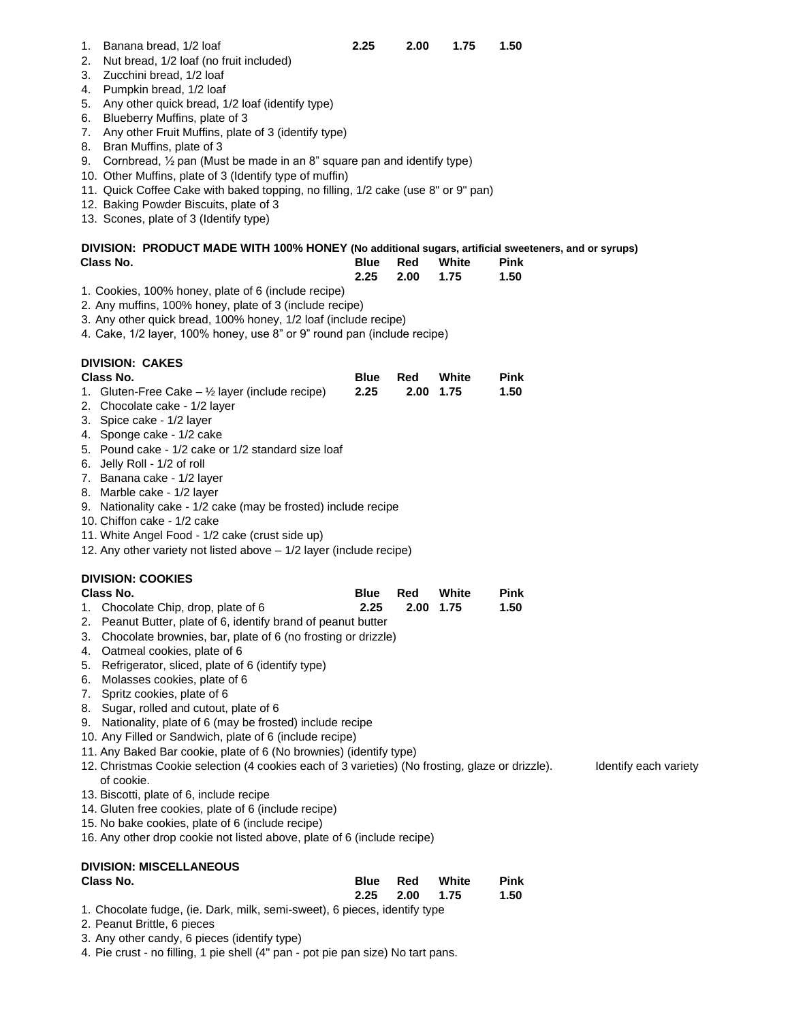1. Banana bread, 1/2 loaf **2.25 2.00 1.75** 

- 2. Nut bread, 1/2 loaf (no fruit included)
- 3. Zucchini bread, 1/2 loaf
- 4. Pumpkin bread, 1/2 loaf
- 5. Any other quick bread, 1/2 loaf (identify type)
- 6. Blueberry Muffins, plate of 3
- 7. Any other Fruit Muffins, plate of 3 (identify type)
- 8. Bran Muffins, plate of 3
- 9. Cornbread, ½ pan (Must be made in an 8" square pan and identify type)
- 10. Other Muffins, plate of 3 (Identify type of muffin)
- 11. Quick Coffee Cake with baked topping, no filling, 1/2 cake (use 8" or 9" pan)
- 12. Baking Powder Biscuits, plate of 3
- 13. Scones, plate of 3 (Identify type)

| DIVISION: PRODUCT MADE WITH 100% HONEY (No additional sugars, artificial sweeteners, and or syrups) |  |                       |             |  |
|-----------------------------------------------------------------------------------------------------|--|-----------------------|-------------|--|
| Class No.                                                                                           |  | <b>Blue Red White</b> | <b>Pink</b> |  |

- $2.25$  2.00 1.75 1.50 1. Cookies, 100% honey, plate of 6 (include recipe) 2. Any muffins, 100% honey, plate of 3 (include recipe) 3. Any other quick bread, 100% honey, 1/2 loaf (include recipe) 4. Cake, 1/2 layer, 100% honey, use 8" or 9" round pan (include recipe) **DIVISION: CAKES Class No. Blue Red White Pink** 1. Gluten-Free Cake  $-$  <sup>1/2</sup> layer (include recipe) 2.25 2. Chocolate cake - 1/2 layer 3. Spice cake - 1/2 layer 4. Sponge cake - 1/2 cake 5. Pound cake - 1/2 cake or 1/2 standard size loaf 6. Jelly Roll - 1/2 of roll 7. Banana cake - 1/2 layer 8. Marble cake - 1/2 layer 9. Nationality cake - 1/2 cake (may be frosted) include recipe 10. Chiffon cake - 1/2 cake 11. White Angel Food - 1/2 cake (crust side up) 12. Any other variety not listed above – 1/2 layer (include recipe) **DIVISION: COOKIES 1.75 1.50 Class No. Blue Red White Pink** 1. Chocolate Chip, drop, plate of 6 **2.25 2.00**  2. Peanut Butter, plate of 6, identify brand of peanut butter 3. Chocolate brownies, bar, plate of 6 (no frosting or drizzle) 4. Oatmeal cookies, plate of 6 5. Refrigerator, sliced, plate of 6 (identify type) 6. Molasses cookies, plate of 6 7. Spritz cookies, plate of 6 8. Sugar, rolled and cutout, plate of 6 9. Nationality, plate of 6 (may be frosted) include recipe 10. Any Filled or Sandwich, plate of 6 (include recipe) **1.75 1.50** 11. Any Baked Bar cookie, plate of 6 (No brownies) (identify type) 12. Christmas Cookie selection (4 cookies each of 3 varieties) (No frosting, glaze or drizzle). Identify each variety of cookie. 13. Biscotti, plate of 6, include recipe 14. Gluten free cookies, plate of 6 (include recipe) 15. No bake cookies, plate of 6 (include recipe) 16. Any other drop cookie not listed above, plate of 6 (include recipe) **DIVISION: MISCELLANEOUS Class No. Blue Red White Pink**
	- 1. Chocolate fudge, (ie. Dark, milk, semi-sweet), 6 pieces, identify type 2. Peanut Brittle, 6 pieces
	- 3. Any other candy, 6 pieces (identify type)
	- 4. Pie crust no filling, 1 pie shell (4" pan pot pie pan size) No tart pans.

 **2.25 2.00 1.75** 

**1.50**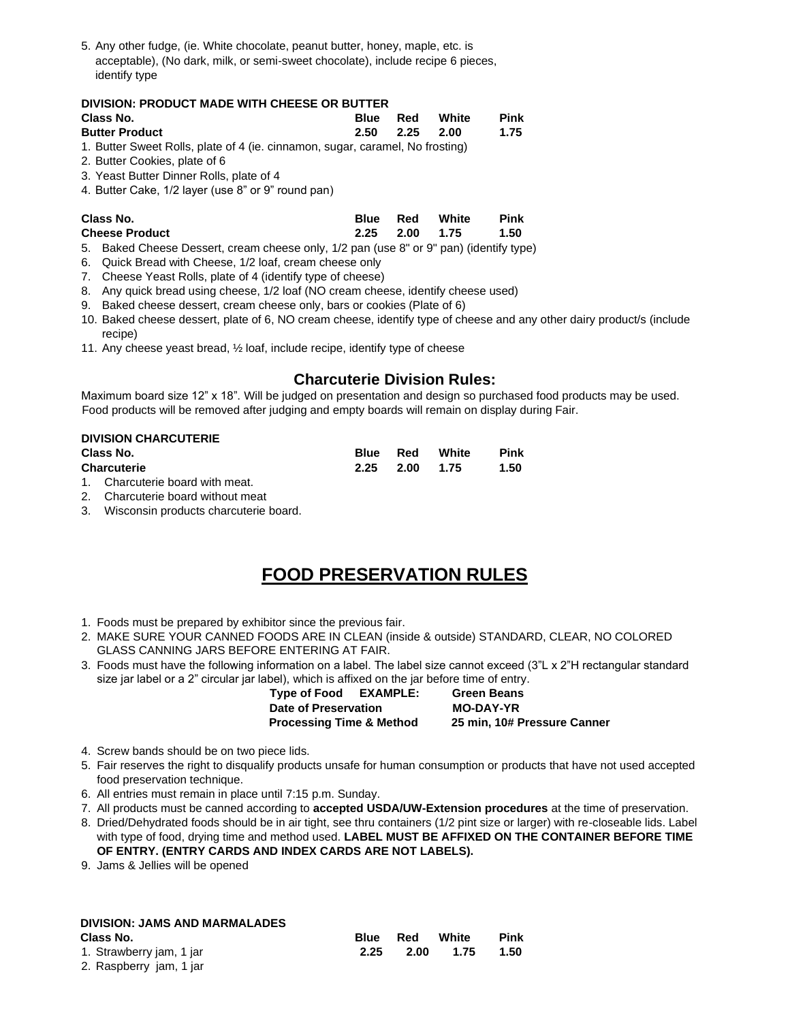5. Any other fudge, (ie. White chocolate, peanut butter, honey, maple, etc. is acceptable), (No dark, milk, or semi-sweet chocolate), include recipe 6 pieces, identify type

#### **DIVISION: PRODUCT MADE WITH CHEESE OR BUTTER**

| Class No.             |                      | <b>Blue Red White</b> | Pink |
|-----------------------|----------------------|-----------------------|------|
| <b>Butter Product</b> | $2.50$ $2.25$ $2.00$ |                       | 1.75 |
|                       |                      |                       |      |

1. Butter Sweet Rolls, plate of 4 (ie. cinnamon, sugar, caramel, No frosting)

- 2. Butter Cookies, plate of 6
- 3. Yeast Butter Dinner Rolls, plate of 4
- 4. Butter Cake, 1/2 layer (use 8" or 9" round pan)

| Class No.             | <b>Blue Red White</b> |  | Pink |
|-----------------------|-----------------------|--|------|
| <b>Cheese Product</b> | 2.25 2.00 1.75        |  | 1.50 |

- 5. Baked Cheese Dessert, cream cheese only, 1/2 pan (use 8" or 9" pan) (identify type)
- 6. Quick Bread with Cheese, 1/2 loaf, cream cheese only
- 7. Cheese Yeast Rolls, plate of 4 (identify type of cheese)
- 8. Any quick bread using cheese, 1/2 loaf (NO cream cheese, identify cheese used)
- 9. Baked cheese dessert, cream cheese only, bars or cookies (Plate of 6)
- 10. Baked cheese dessert, plate of 6, NO cream cheese, identify type of cheese and any other dairy product/s (include recipe)
- 11. Any cheese yeast bread, ½ loaf, include recipe, identify type of cheese

## **Charcuterie Division Rules:**

Maximum board size 12" x 18". Will be judged on presentation and design so purchased food products may be used. Food products will be removed after judging and empty boards will remain on display during Fair.

#### **DIVISION CHARCUTERIE**

| Class No.          | Blue Red | White          | <b>Pink</b> |
|--------------------|----------|----------------|-------------|
| <b>Charcuterie</b> |          | 2.25 2.00 1.75 | 1.50        |

- 1. Charcuterie board with meat.
- 2. Charcuterie board without meat
- 3. Wisconsin products charcuterie board.

# **FOOD PRESERVATION RULES**

- 1. Foods must be prepared by exhibitor since the previous fair.
- 2. MAKE SURE YOUR CANNED FOODS ARE IN CLEAN (inside & outside) STANDARD, CLEAR, NO COLORED GLASS CANNING JARS BEFORE ENTERING AT FAIR.
- 3. Foods must have the following information on a label. The label size cannot exceed (3"L x 2"H rectangular standard size jar label or a 2" circular jar label), which is affixed on the jar before time of entry.

 **Type of Food EXAMPLE: Green Beans Date of Preservation MO-DAY-YR Processing Time & Method 25 min, 10# Pressure Canner** 

- 4. Screw bands should be on two piece lids.
- 5. Fair reserves the right to disqualify products unsafe for human consumption or products that have not used accepted food preservation technique.
- 6. All entries must remain in place until 7:15 p.m. Sunday.
- 7. All products must be canned according to **accepted USDA/UW-Extension procedures** at the time of preservation.
- 8. Dried/Dehydrated foods should be in air tight, see thru containers (1/2 pint size or larger) with re-closeable lids. Label with type of food, drying time and method used. **LABEL MUST BE AFFIXED ON THE CONTAINER BEFORE TIME OF ENTRY. (ENTRY CARDS AND INDEX CARDS ARE NOT LABELS).**
- 9. Jams & Jellies will be opened

#### **DIVISION: JAMS AND MARMALADES**

| Class No.                | <b>Blue</b> | Red  | White | <b>Pink</b> |
|--------------------------|-------------|------|-------|-------------|
| 1. Strawberry jam, 1 jar | 2.25        | 2.00 | 1.75  | 1.50        |
| 2. Raspberry iam. 1 iar  |             |      |       |             |